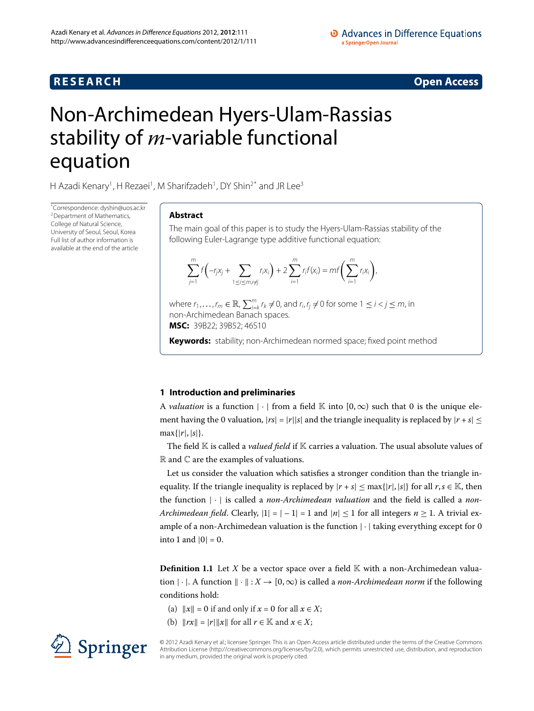## **R E S E A R C H Open Access**

# <span id="page-0-0"></span>Non-Archimedean Hyers-Ulam-Rassias stability of *m*-variable functional equation

H Azadi Kenary<sup>[1](#page-15-0)</sup>, H Rezaei<sup>1</sup>, M Sharifzadeh<sup>1</sup>, DY Shin<sup>2[\\*](#page-0-0)</sup> and JR Lee<sup>3</sup>

\* Correspondence: [dyshin@uos.ac.kr](mailto:dyshin@uos.ac.kr) [2](#page-15-1)Department of Mathematics, College of Natural Science, University of Seoul, Seoul, Korea Full list of author information is available at the end of the article

## **Abstract**

The main goal of this paper is to study the Hyers-Ulam-Rassias stability of the following Euler-Lagrange type additive functional equation:

$$
\sum_{j=1}^{m} f\left(-r_j x_j + \sum_{1 \leq i \leq m, i \neq j} r_i x_i\right) + 2 \sum_{i=1}^{m} r_i f(x_i) = m f\left(\sum_{i=1}^{m} r_i x_i\right),
$$

where  $r_1, \ldots, r_m \in \mathbb{R}$ ,  $\sum_{i=k}^m r_k \neq 0$ , and  $r_i, r_j \neq 0$  for some  $1 \leq i < j \leq m$ , in non-Archimedean Banach spaces.

**MSC:** 39B22; 39B52; 46S10

**Keywords:** stability; non-Archimedean normed space; fixed point method

## **1 Introduction and preliminaries**

A *valuation* is a function  $|\cdot|$  from a field K into  $[0,\infty)$  such that 0 is the unique element having the 0 valuation,  $|rs| = |r||s|$  and the triangle inequality is replaced by  $|r + s| \le$  $max\{|r|,|s|\}.$ 

The field K is called a *valued field* if K carries a valuation. The usual absolute values of  $\mathbb R$  and  $\mathbb C$  are the examples of valuations.

Let us consider the valuation which satisfies a stronger condition than the triangle inequality. If the triangle inequality is replaced by  $|r + s| \leq \max\{|r|, |s|\}$  for all  $r, s \in \mathbb{K}$ , then the function |·| is called a *non-Archimedean valuation* and the field is called a *non-Archimedean field.* Clearly,  $|1| = |-1| = 1$  and  $|n| \le 1$  for all integers  $n \ge 1$ . A trivial example of a non-Archimedean valuation is the function  $|\cdot|$  taking everything except for 0 into 1 and  $|0| = 0$ .

**Definition 1.1** Let *X* be a vector space over a field  $\mathbb{K}$  with a non-Archimedean valuation  $|\cdot|$ . A function  $\|\cdot\|$ :  $X \to [0,\infty)$  is called a *non-Archimedean norm* if the following conditions hold:

- (a)  $||x|| = 0$  if and only if  $x = 0$  for all  $x \in X$ ;
- (b)  $\|rx\| = |r| \|x\|$  for all  $r \in \mathbb{K}$  and  $x \in X$ ;



© 2012 Azadi Kenary et al.; licensee Springer. This is an Open Access article distributed under the terms of the Creative Commons Attribution License [\(http://creativecommons.org/licenses/by/2.0](http://creativecommons.org/licenses/by/2.0)), which permits unrestricted use, distribution, and reproduction in any medium, provided the original work is properly cited.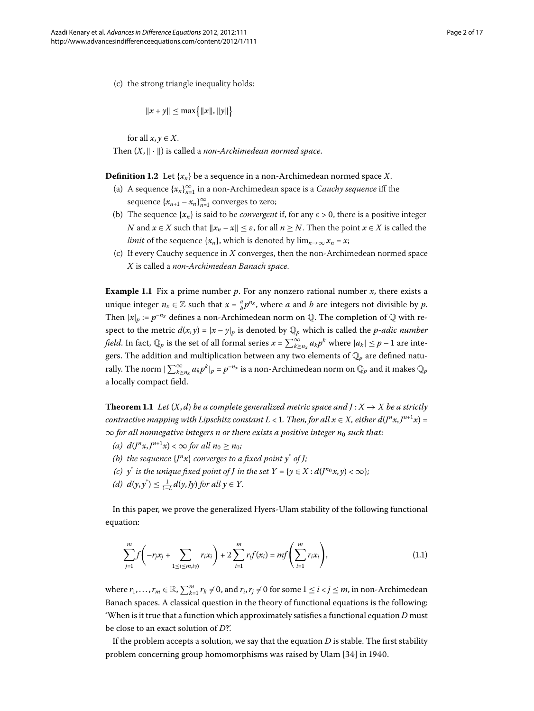(c) the strong triangle inequality holds:

$$
||x + y|| \le \max\{|x||, ||y||\}
$$

for all  $x, y \in X$ . Then  $(X, \|\cdot\|)$  is called a *non-Archimedean normed space*.

**Definition 1.2** Let  $\{x_n\}$  be a sequence in a non-Archimedean normed space X.

- (a) A sequence {*xn*}<sup>∞</sup> *<sup>n</sup>*= in a non-Archimedean space is a *Cauchy sequence* iff the sequence  $\{x_{n+1} - x_n\}_{n=1}^{\infty}$  converges to zero;
- (b) The sequence  ${x_n}$  is said to be *convergent* if, for any  $\varepsilon > 0$ , there is a positive integer *N* and  $x \in X$  such that  $||x_n - x|| \leq \varepsilon$ , for all  $n \geq N$ . Then the point  $x \in X$  is called the *limit* of the sequence  $\{x_n\}$ , which is denoted by  $\lim_{n\to\infty} x_n = x$ ;
- (c) If every Cauchy sequence in *X* converges, then the non-Archimedean normed space *X* is called a *non-Archimedean Banach space*.

<span id="page-1-1"></span>**Example 1.1** Fix a prime number  $p$ . For any nonzero rational number  $x$ , there exists a unique integer  $n_x \in \mathbb{Z}$  such that  $x = \frac{a}{b}p^{n_x}$ , where *a* and *b* are integers not divisible by *p*. Then  $|x|_p := p^{-n_x}$  defines a non-Archimedean norm on Q. The completion of Q with respect to the metric  $d(x, y) = |x - y|_p$  is denoted by  $\mathbb{Q}_p$  which is called the *p-adic number field*. In fact,  $\mathbb{Q}_p$  is the set of all formal series  $x = \sum_{k \ge n_x}^{\infty} a_k p^k$  where  $|a_k| \le p - 1$  are integers. The addition and multiplication between any two elements of Q*<sup>p</sup>* are defined naturally. The norm  $|\sum_{k\geq n_x}^{\infty} a_k p^k|_p = p^{-n_x}$  is a non-Archimedean norm on  $\mathbb{Q}_p$  and it makes  $\mathbb{Q}_p$ a locally compact field.

**Theorem 1.1** Let  $(X, d)$  be a complete generalized metric space and  $J: X \rightarrow X$  be a strictly *contractive mapping with Lipschitz constant L < 1. Then, for all*  $x \in X$ *, either*  $d(J^n x, J^{n+1} x) =$  $\infty$  *for all nonnegative integers n or there exists a positive integer n*<sup>0</sup> *such that:* 

- *(a)*  $d(J^n x, J^{n+1} x) < \infty$  *for all*  $n_0 \ge n_0$ *;*
- *(b)* the sequence  $\{J^n x\}$  converges to a fixed point  $y^*$  of *J*;
- *(c)*  $y^*$  *is the unique fixed point of <i>J in the set*  $Y = \{y \in X : d(J^{n_0}x, y) < \infty\};$
- <span id="page-1-0"></span>*(d)*  $d(y, y^*) \le \frac{1}{1-L} d(y, Jy)$  *for all*  $y \in Y$ *.*

In this paper, we prove the generalized Hyers-Ulam stability of the following functional equation:

$$
\sum_{j=1}^{m} f\left(-r_j x_j + \sum_{1 \le i \le m, i \ne j} r_i x_i\right) + 2 \sum_{i=1}^{m} r_i f(x_i) = m f\left(\sum_{i=1}^{m} r_i x_i\right),\tag{1.1}
$$

where  $r_1, \ldots, r_m \in \mathbb{R}$ ,  $\sum_{k=1}^m r_k \neq 0$ , and  $r_i, r_j \neq 0$  for some  $1 \leq i < j \leq m$ , in non-Archimedean Banach spaces. A classical question in the theory of functional equations is the following: 'When is it true that a function which approximately satisfies a functional equation *D* must be close to an exact solution of *D*?'.

If the problem accepts a solution, we say that the equation  $D$  is stable. The first stability problem concerning group homomorphisms was raised by Ulam [34] in 1940.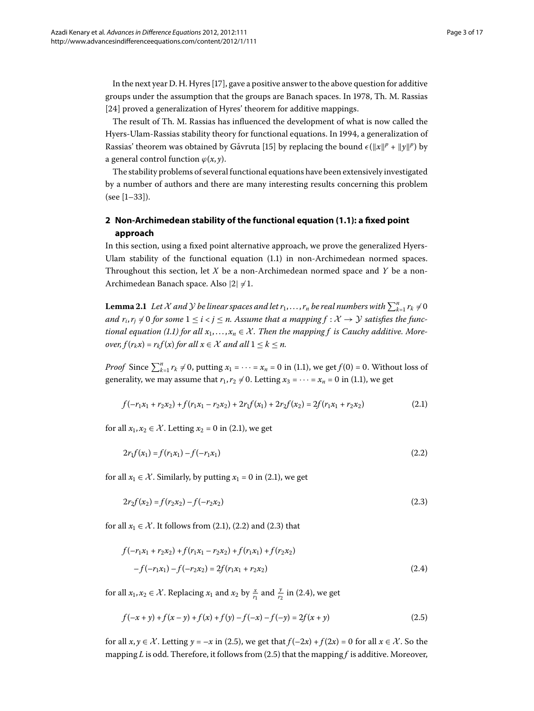In the next year D. H. Hyres  $[17]$  $[17]$ , gave a positive answer to the above question for additive groups under the assumption that the groups are Banach spaces. In 1978, Th. M. Rassias [24] proved a generalization of Hyres' theorem for additive mappings.

The result of Th. M. Rassias has influenced the development of what is now called the Hyers-Ulam-Rassias stability theory for functional equations. In 1994, a generalization of Rassias' theorem was obtained by Gǎvruta [15[\]](#page-16-3) by replacing the bound  $\epsilon(\Vert x \Vert^p + \Vert y \Vert^p)$  by a general control function  $\varphi(x, y)$ .

The stability problems of several functional equations have been extensively investigated by a number of authors and there are many interesting results concerning this problem  $(see [1-33]).$  $(see [1-33]).$  $(see [1-33]).$ 

## <span id="page-2-5"></span>**2 Non-Archimedean stability of the functional equation ([1.1](#page-1-0)): a fixed point approach**

In this section, using a fixed point alternative approach, we prove the generalized Hyers-Ulam stability of the functional equation  $(1.1)$  in non-Archimedean normed spaces. Throughout this section, let *X* be a non-Archimedean normed space and *Y* be a non-Archimedean Banach space. Also  $|2| \neq 1$ .

**Lemma 2.1** Let X and Y be linear spaces and let  $r_1, \ldots, r_n$  be real numbers with  $\sum_{k=1}^n r_k \neq 0$ *and*  $r_i$ ,  $r_j \neq 0$  for some  $1 \leq i < j \leq n$ . Assume that a mapping  $f: \mathcal{X} \to \mathcal{Y}$  satisfies the func-*tional equation (1[.](#page-1-0)1) for all*  $x_1, \ldots, x_n \in \mathcal{X}$ . Then the mapping f is Cauchy additive. More*over,*  $f(r_k x) = r_k f(x)$  *for all*  $x \in \mathcal{X}$  *and all*  $1 \leq k \leq n$ *.* 

*Proof* Since  $\sum_{k=1}^{n} r_k \neq 0$ , putting  $x_1 = \cdots = x_n = 0$  in (1[.](#page-1-0)1), we get  $f(0) = 0$ . Without loss of generality, we may assume that  $r_1, r_2 \neq 0$ [.](#page-1-0) Letting  $x_3 = \cdots = x_n = 0$  in (1.1), we get

<span id="page-2-2"></span><span id="page-2-1"></span><span id="page-2-0"></span>
$$
f(-r_1x_1 + r_2x_2) + f(r_1x_1 - r_2x_2) + 2r_1f(x_1) + 2r_2f(x_2) = 2f(r_1x_1 + r_2x_2)
$$
\n(2.1)

for all  $x_1, x_2 \in \mathcal{X}$ [.](#page-2-0) Letting  $x_2 = 0$  in (2.1), we get

$$
2r_1f(x_1) = f(r_1x_1) - f(-r_1x_1)
$$
\n(2.2)

<span id="page-2-3"></span>for all  $x_1 \in \mathcal{X}$ . Similarly, by putting  $x_1 = 0$  in (2.1), we get

$$
2r_2f(x_2) = f(r_2x_2) - f(-r_2x_2)
$$
\n(2.3)

<span id="page-2-4"></span>for all  $x_1 \in \mathcal{X}$ [.](#page-2-2) It follows from (2.1), (2.2) and (2.3) that

$$
f(-r_1x_1 + r_2x_2) + f(r_1x_1 - r_2x_2) + f(r_1x_1) + f(r_2x_2)
$$
  
-f(-r\_1x\_1) - f(-r\_2x\_2) = 2f(r\_1x\_1 + r\_2x\_2) (2.4)

for all  $x_1, x_2 \in \mathcal{X}$ . Replacing  $x_1$  and  $x_2$  by  $\frac{x}{r_1}$  and  $\frac{y}{r_2}$  in (2.4), we get

$$
f(-x+y) + f(x-y) + f(x) + f(y) - f(-x) - f(-y) = 2f(x+y)
$$
\n(2.5)

for all  $x, y \in \mathcal{X}$ . Letting  $y = -x$  in (2.5), we get that  $f(-2x) + f(2x) = 0$  for all  $x \in \mathcal{X}$ . So the mapping *L* is odd. Therefore, it follows from (2.5) that the mapping *f* is additive. Moreover,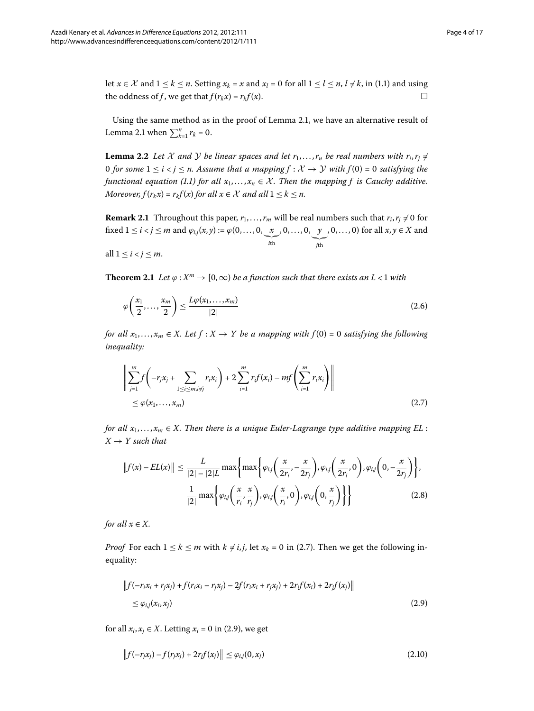let  $x \in \mathcal{X}$  and  $1 \le k \le n$ [.](#page-1-0) Setting  $x_k = x$  and  $x_l = 0$  for all  $1 \le l \le n$ ,  $l \ne k$ , in (1.1) and using the oddness of *f*, we get that  $f(r_kx) = r_kf(x)$ .  $\Box$ 

Using the same method as in the proof of Lemma 2[.](#page-2-5)1, we have an alternative result of Lemma 2[.](#page-2-5)1 when  $\sum_{k=1}^{n} r_k = 0$ .

**Lemma 2.2** Let X and Y be linear spaces and let  $r_1, \ldots, r_n$  be real numbers with  $r_i, r_j \neq 0$ *O* for some  $1 \le i < j \le n$ . Assume that a mapping  $f : \mathcal{X} \to \mathcal{Y}$  with  $f(0) = 0$  satisfying the *functional equation (1[.](#page-1-0)1) for all*  $x_1, \ldots, x_n \in \mathcal{X}$ *. Then the mapping f is Cauchy additive. Moreover,*  $f(r_kx) = r_kf(x)$  *for all*  $x \in \mathcal{X}$  *and all*  $1 \leq k \leq n$ *.* 

<span id="page-3-5"></span>**Remark 2.1** Throughout this paper,  $r_1, \ldots, r_m$  will be real numbers such that  $r_i, r_j \neq 0$  for fixed  $1 \leq i < j \leq m$  and  $\varphi_{i,j}(x,y) := \varphi(0,\ldots,0,\underbrace{x})$  *i*th , , . . . , , *y j*th , , . . . , ) for all *x*, *y* ∈ *X* and

all  $1 \leq i < j \leq m$ .

<span id="page-3-0"></span>**Theorem 2.1** Let  $\varphi$  :  $X^m \to [0,\infty)$  be a function such that there exists an L < 1 with

<span id="page-3-4"></span>
$$
\varphi\left(\frac{x_1}{2},\ldots,\frac{x_m}{2}\right) \le \frac{L\varphi(x_1,\ldots,x_m)}{|2|} \tag{2.6}
$$

*for all*  $x_1, \ldots, x_m \in X$ . Let  $f : X \to Y$  be a mapping with  $f(0) = 0$  satisfying the following *inequality:*

$$
\left\| \sum_{j=1}^{m} f\left( -r_j x_j + \sum_{1 \le i \le m, i \ne j} r_i x_i \right) + 2 \sum_{i=1}^{m} r_i f(x_i) - m f\left( \sum_{i=1}^{m} r_i x_i \right) \right\|
$$
  
\$\le \varphi(x\_1, ..., x\_m)\$ (2.7)

<span id="page-3-3"></span>*for all*  $x_1, \ldots, x_m \in X$ . Then there is a unique Euler-Lagrange type additive mapping EL :  $X \rightarrow Y$  such that

$$
||f(x) - EL(x)|| \le \frac{L}{|2| - |2|L} \max \left\{ \max \left\{ \varphi_{i,j} \left( \frac{x}{2r_i}, -\frac{x}{2r_j} \right), \varphi_{i,j} \left( \frac{x}{2r_i}, 0 \right), \varphi_{i,j} \left( 0, -\frac{x}{2r_j} \right) \right\}, \frac{1}{|2|} \max \left\{ \varphi_{i,j} \left( \frac{x}{r_i}, \frac{x}{r_j} \right), \varphi_{i,j} \left( \frac{x}{r_i}, 0 \right), \varphi_{i,j} \left( 0, \frac{x}{r_j} \right) \right\} \right\}
$$
(2.8)

<span id="page-3-1"></span>*for all*  $x \in X$ *.* 

*Proof* For each  $1 \le k \le m$  with  $k \ne i, j$ , let  $x_k = 0$  in (2[.](#page-3-0)7). Then we get the following inequality:

<span id="page-3-2"></span>
$$
\|f(-r_i x_i + r_j x_j) + f(r_i x_i - r_j x_j) - 2f(r_i x_i + r_j x_j) + 2r_i f(x_i) + 2r_j f(x_j)\|
$$
  
 
$$
\leq \varphi_{i,j}(x_i, x_j)
$$
 (2.9)

for all  $x_i, x_j \in X$ . Letting  $x_i = 0$  in (2.9), we get

$$
\|f(-r_j x_j) - f(r_j x_j) + 2r_j f(x_j)\| \le \varphi_{i,j}(0, x_j)
$$
\n(2.10)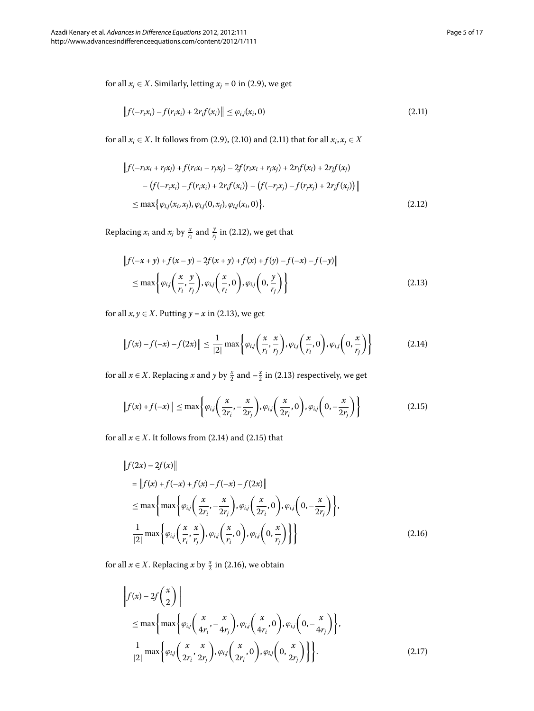<span id="page-4-1"></span>for all  $x_j \in X$ . Similarly, letting  $x_j = 0$  in (2.9), we get

<span id="page-4-0"></span>
$$
\|f(-r_i x_i) - f(r_i x_i) + 2r_i f(x_i)\| \le \varphi_{i,j}(x_i, 0)
$$
\n(2.11)

<span id="page-4-2"></span>for all *x<sub>i</sub>* ∈ *X*[.](#page-4-0) It follows from (2.9), (2.10) and (2.11) that for all *x<sub>i</sub>*, *x<sub>j</sub>* ∈ *X* 

$$
||f(-r_i x_i + r_j x_j) + f(r_i x_i - r_j x_j) - 2f(r_i x_i + r_j x_j) + 2r_i f(x_i) + 2r_j f(x_j)
$$
  
- 
$$
(f(-r_i x_i) - f(r_i x_i) + 2r_i f(x_i)) - (f(-r_j x_j) - f(r_j x_j) + 2r_j f(x_j))||
$$
  

$$
\leq \max \{ \varphi_{i,j}(x_i, x_j), \varphi_{i,j}(0, x_j), \varphi_{i,j}(x_i, 0) \}.
$$
 (2.12)

Replacing  $x_i$  and  $x_j$  by  $\frac{x}{r_i}$  and  $\frac{y}{r_j}$  in (2[.](#page-4-1)12), we get that

<span id="page-4-3"></span>
$$
\left\|f(-x+y)+f(x-y)-2f(x+y)+f(x)+f(y)-f(-x)-f(-y)\right\|
$$
  
\n
$$
\leq \max\left\{\varphi_{i,j}\left(\frac{x}{r_i},\frac{y}{r_j}\right),\varphi_{i,j}\left(\frac{x}{r_i},0\right),\varphi_{i,j}\left(0,\frac{y}{r_j}\right)\right\}
$$
\n(2.13)

for all  $x, y \in X$ . Putting  $y = x$  in (2.13), we get

<span id="page-4-4"></span>
$$
\|f(x)-f(-x)-f(2x)\| \le \frac{1}{|2|} \max\left\{\varphi_{i,j}\left(\frac{x}{r_i},\frac{x}{r_j}\right),\varphi_{i,j}\left(\frac{x}{r_i},0\right),\varphi_{i,j}\left(0,\frac{x}{r_j}\right)\right\} \tag{2.14}
$$

<span id="page-4-5"></span>for all  $x \in X$ . Replacing *x* and *y* by  $\frac{x}{2}$  and  $-\frac{x}{2}$  in (2.13) respectively, we get

$$
||f(x) + f(-x)|| \le \max\left\{\varphi_{i,j}\left(\frac{x}{2r_i}, -\frac{x}{2r_j}\right), \varphi_{i,j}\left(\frac{x}{2r_i}, 0\right), \varphi_{i,j}\left(0, -\frac{x}{2r_j}\right)\right\}
$$
(2.15)

for all  $x \in X$ [.](#page-4-4) It follows from (2.14) and (2.15) that

$$
\|f(2x) - 2f(x)\|
$$
\n
$$
= \|f(x) + f(-x) + f(x) - f(-x) - f(2x)\|
$$
\n
$$
\leq \max\left\{\max\left\{\varphi_{ij}\left(\frac{x}{2r_i}, -\frac{x}{2r_j}\right), \varphi_{ij}\left(\frac{x}{2r_i}, 0\right), \varphi_{ij}\left(0, -\frac{x}{2r_j}\right)\right\},\right\}
$$
\n
$$
\frac{1}{|2|} \max\left\{\varphi_{ij}\left(\frac{x}{r_i}, \frac{x}{r_j}\right), \varphi_{ij}\left(\frac{x}{r_i}, 0\right), \varphi_{ij}\left(0, \frac{x}{r_j}\right)\right\}\right\}
$$
\n(2.16)

<span id="page-4-6"></span>for all  $x \in X$ . Replacing  $x$  by  $\frac{x}{2}$  in (2.16), we obtain

$$
\left\| f(x) - 2f\left(\frac{x}{2}\right) \right\|
$$
  
\n
$$
\leq \max \left\{ \max \left\{ \varphi_{i,j} \left( \frac{x}{4r_i}, -\frac{x}{4r_j} \right), \varphi_{i,j} \left( \frac{x}{4r_i}, 0 \right), \varphi_{i,j} \left( 0, -\frac{x}{4r_j} \right) \right\},\right\}
$$
  
\n
$$
\frac{1}{|2|} \max \left\{ \varphi_{i,j} \left( \frac{x}{2r_i}, \frac{x}{2r_j} \right), \varphi_{i,j} \left( \frac{x}{2r_i}, 0 \right), \varphi_{i,j} \left( 0, \frac{x}{2r_j} \right) \right\} \right\}.
$$
 (2.17)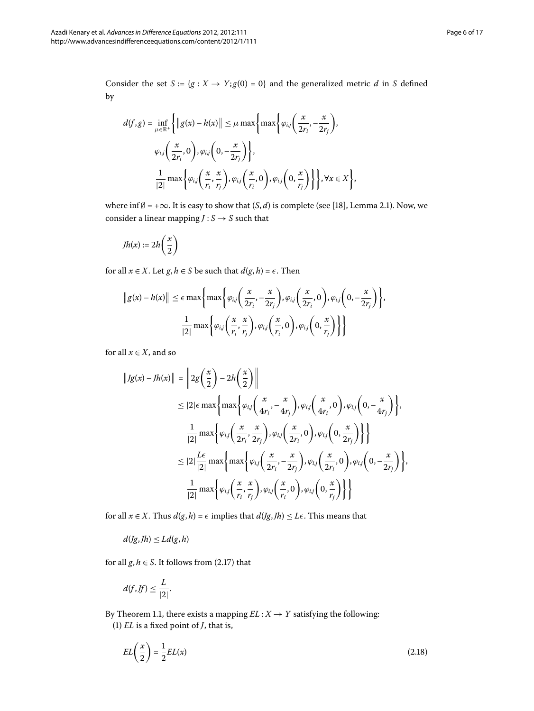Consider the set  $S := \{g : X \to Y; g(0) = 0\}$  and the generalized metric *d* in *S* defined by

$$
d(f,g) = \inf_{\mu \in \mathbb{R}^+} \left\{ \|g(x) - h(x)\| \le \mu \max\left\{\max\left\{\varphi_{i,j}\left(\frac{x}{2r_i}, -\frac{x}{2r_j}\right), \right.\right\}\varphi_{i,j}\left(\frac{x}{2r_i}, 0\right), \varphi_{i,j}\left(0, -\frac{x}{2r_j}\right)\right\},\newline \frac{1}{|2|}\max\left\{\varphi_{i,j}\left(\frac{x}{r_i}, \frac{x}{r_j}\right), \varphi_{i,j}\left(\frac{x}{r_i}, 0\right), \varphi_{i,j}\left(0, \frac{x}{r_j}\right)\right\}\right\}, \forall x \in X\left\},\newline
$$

where inf $\emptyset$  = + $\infty$ . It is easy to show that  $(S, d)$  is complete (see [18[\]](#page-16-5), Lemma 2.1). Now, we consider a linear mapping  $J: S \rightarrow S$  such that

$$
Jh(x):=2h\bigg(\frac{x}{2}\bigg)
$$

for all  $x \in X$ . Let  $g, h \in S$  be such that  $d(g, h) = \epsilon$ . Then

$$
||g(x) - h(x)|| \le \epsilon \max \left\{ \max \left\{ \varphi_{i,j} \left( \frac{x}{2r_i}, -\frac{x}{2r_j} \right), \varphi_{i,j} \left( \frac{x}{2r_i}, 0 \right), \varphi_{i,j} \left( 0, -\frac{x}{2r_j} \right) \right\},\newline\n\frac{1}{|2|} \max \left\{ \varphi_{i,j} \left( \frac{x}{r_i}, \frac{x}{r_j} \right), \varphi_{i,j} \left( \frac{x}{r_i}, 0 \right), \varphi_{i,j} \left( 0, \frac{x}{r_j} \right) \right\} \right\}
$$

for all  $x \in X$ , and so

$$
||Jg(x) - Jh(x)|| = ||2g(\frac{x}{2}) - 2h(\frac{x}{2})||
$$
  
\n
$$
\leq |2| \epsilon \max \left\{ \max \left\{ \varphi_{i,j} \left( \frac{x}{4r_i}, -\frac{x}{4r_j} \right), \varphi_{i,j} \left( \frac{x}{4r_i}, 0 \right), \varphi_{i,j} \left( 0, -\frac{x}{4r_j} \right) \right\},\
$$
  
\n
$$
\frac{1}{|2|} \max \left\{ \varphi_{i,j} \left( \frac{x}{2r_i}, \frac{x}{2r_j} \right), \varphi_{i,j} \left( \frac{x}{2r_i}, 0 \right), \varphi_{i,j} \left( 0, \frac{x}{2r_j} \right) \right\} \right\}
$$
  
\n
$$
\leq |2| \frac{L\epsilon}{|2|} \max \left\{ \max \left\{ \varphi_{i,j} \left( \frac{x}{2r_i}, -\frac{x}{2r_j} \right), \varphi_{i,j} \left( \frac{x}{2r_i}, 0 \right), \varphi_{i,j} \left( 0, -\frac{x}{2r_j} \right) \right\},\
$$
  
\n
$$
\frac{1}{|2|} \max \left\{ \varphi_{i,j} \left( \frac{x}{r_i}, \frac{x}{r_j} \right), \varphi_{i,j} \left( \frac{x}{r_i}, 0 \right), \varphi_{i,j} \left( 0, \frac{x}{r_j} \right) \right\} \right\}
$$

for all *x* ∈ *X*. Thus *d*(*g*, *h*) =  $\epsilon$  implies that *d*(*Jg*, *Jh*) ≤ *L* $\epsilon$ . This means that

$$
d(Jg, Jh) \le Ld(g, h)
$$

for all  $g, h \in S$ . It follows from (2.17) that

<span id="page-5-0"></span>
$$
d(f, Jf) \leq \frac{L}{|2|}.
$$

By Theorem 1.1, there exists a mapping  $EL:X\rightarrow Y$  satisfying the following: () *EL* is a fixed point of *J*, that is,

$$
EL\left(\frac{x}{2}\right) = \frac{1}{2}EL(x) \tag{2.18}
$$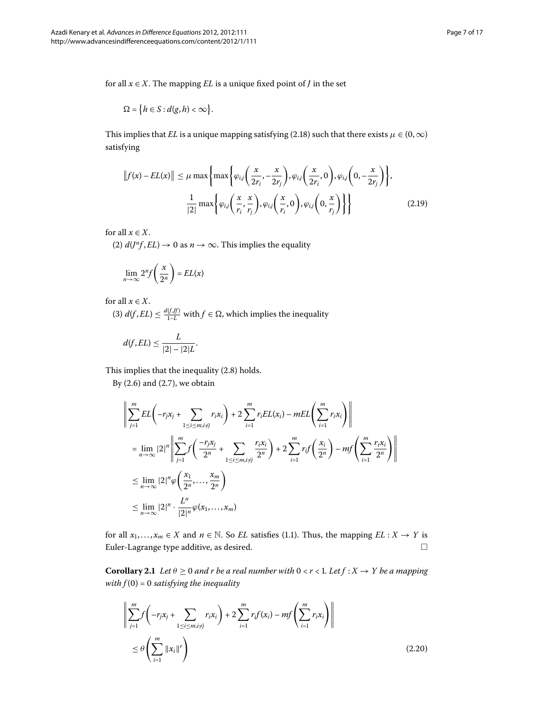for all  $x \in X$ . The mapping *EL* is a unique fixed point of *J* in the set

$$
\Omega = \big\{ h \in S : d(g, h) < \infty \big\}.
$$

This implies that *EL* is a unique mapping satisfying (2[.](#page-5-0)18) such that there exists  $\mu \in (0, \infty)$ satisfying

$$
||f(x) - EL(x)|| \le \mu \max\left\{\max\left\{\varphi_{i,j}\left(\frac{x}{2r_i}, -\frac{x}{2r_j}\right), \varphi_{i,j}\left(\frac{x}{2r_i}, 0\right), \varphi_{i,j}\left(0, -\frac{x}{2r_j}\right)\right\},\right\}
$$

$$
\frac{1}{|2|} \max\left\{\varphi_{i,j}\left(\frac{x}{r_i}, \frac{x}{r_j}\right), \varphi_{i,j}\left(\frac{x}{r_i}, 0\right), \varphi_{i,j}\left(0, \frac{x}{r_j}\right)\right\}\right\}
$$
(2.19)

for all  $x \in X$ .

(2)  $d(J^n f, EL) \rightarrow 0$  as  $n \rightarrow \infty$ . This implies the equality

$$
\lim_{n \to \infty} 2^n f\left(\frac{x}{2^n}\right) = EL(x)
$$

## for all  $x \in X$ .

(3)  $d(f, EL) \leq \frac{d(f, ff)}{1 - L}$  with  $f \in \Omega$ , which implies the inequality

$$
d(f, EL) \leq \frac{L}{|2| - |2|L}.
$$

This implies that the inequality  $(2.8)$  holds.

By  $(2.6)$  and  $(2.7)$ , we obtain

$$
\left\| \sum_{j=1}^{m} EL\left(-r_j x_j + \sum_{1 \le i \le m, i \ne j} r_i x_i\right) + 2 \sum_{i=1}^{m} r_i EL(x_i) - mEL\left(\sum_{i=1}^{m} r_i x_i\right) \right\|
$$
  
\n
$$
= \lim_{n \to \infty} |2|^n \left\| \sum_{j=1}^{m} f\left(\frac{-r_j x_j}{2^n} + \sum_{1 \le i \le m, i \ne j} \frac{r_i x_i}{2^n}\right) + 2 \sum_{i=1}^{m} r_i f\left(\frac{x_i}{2^n}\right) - m f\left(\sum_{i=1}^{m} \frac{r_i x_i}{2^n}\right) \right\|
$$
  
\n
$$
\le \lim_{n \to \infty} |2|^n \varphi\left(\frac{x_1}{2^n}, \dots, \frac{x_m}{2^n}\right)
$$
  
\n
$$
\le \lim_{n \to \infty} |2|^n \cdot \frac{L^n}{|2|^n} \varphi(x_1, \dots, x_m)
$$

<span id="page-6-0"></span>for all  $x_1, \ldots, x_m \in X$  and  $n \in \mathbb{N}$ [.](#page-1-0) So *EL* satisfies (1.1). Thus, the mapping  $EL : X \to Y$  is Euler-Lagrange type additive, as desired.  $\Box$ 

**Corollary 2.1** Let  $\theta \ge 0$  and r be a real number with  $0 < r < 1$ . Let  $f : X \rightarrow Y$  be a mapping *with*  $f(0) = 0$  *satisfying the inequality* 

$$
\left\| \sum_{j=1}^{m} f\left( -r_j x_j + \sum_{1 \le i \le m, i \ne j} r_i x_i \right) + 2 \sum_{i=1}^{m} r_i f(x_i) - m f\left( \sum_{i=1}^{m} r_i x_i \right) \right\|
$$
  
 
$$
\le \theta \left( \sum_{i=1}^{m} ||x_i||^r \right) \tag{2.20}
$$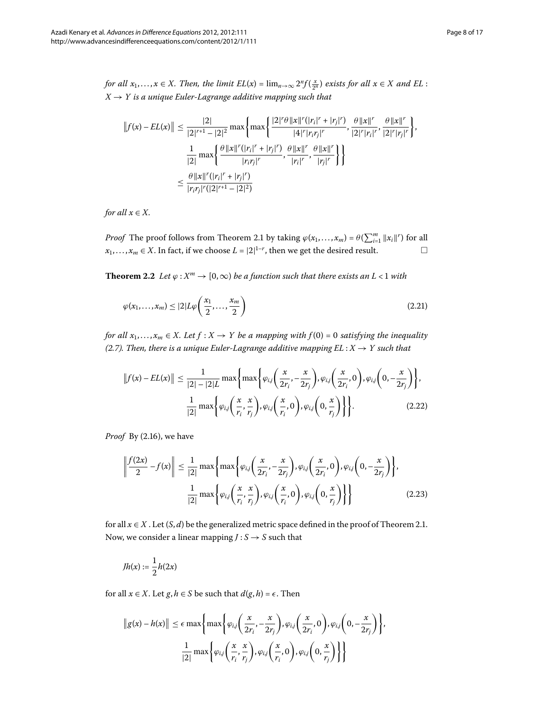*for all*  $x_1, ..., x \in X$ . *Then, the limit*  $EL(x) = \lim_{n \to \infty} 2^n f(\frac{x}{2^n})$  *exists for all*  $x \in X$  *and*  $EL$  :  $X \rightarrow Y$  *is a unique Euler-Lagrange additive mapping such that* 

$$
||f(x) - EL(x)|| \le \frac{|2|}{|2|^{r+1} - |2|^2} \max \left\{ \max \left\{ \frac{|2|^r \theta ||x||^r (|r_i|^r + |r_j|^r)}{|4|^r |r_i r_j|^r}, \frac{\theta ||x||^r}{|2|^r |r_i|^r}, \frac{\theta ||x||^r}{|2|^r |r_j|^r} \right\} \right\}
$$

$$
\frac{1}{|2|} \max \left\{ \frac{\theta ||x||^r (|r_i|^r + |r_j|^r)}{|r_i r_j|^r}, \frac{\theta ||x||^r}{|r_i|^r}, \frac{\theta ||x||^r}{|r_j|^r} \right\}
$$

$$
\le \frac{\theta ||x||^r (|r_i|^r + |r_j|^r)}{|r_i r_j|^r (|2|^{r+1} - |2|^2)}
$$

<span id="page-7-2"></span>*for all*  $x \in X$ *.* 

*Proof* The proof follows from Theorem 2[.](#page-3-5)1 by taking  $\varphi(x_1, \ldots, x_m) = \theta(\sum_{i=1}^m ||x_i||^r)$  for all *x*<sub>1</sub>,..., *x<sub>m</sub>* ∈ *X*. In fact, if we choose *L* =  $|2|^{1-r}$ , then we get the desired result.  $□$  $\Box$ 

<span id="page-7-1"></span>**Theorem 2.2** Let  $\varphi : X^m \to [0, \infty)$  be a function such that there exists an L < 1 with

$$
\varphi(x_1,\ldots,x_m) \le |2|L\varphi\left(\frac{x_1}{2},\ldots,\frac{x_m}{2}\right) \tag{2.21}
$$

*for all*  $x_1, \ldots, x_m \in X$ . Let  $f : X \to Y$  be a mapping with  $f(0) = 0$  satisfying the inequality *(*2.*7). Then, there is a unique Euler-Lagrange additive mapping*  $EL : X \rightarrow Y$  *such that* 

<span id="page-7-0"></span>
$$
||f(x) - EL(x)|| \le \frac{1}{|2| - |2|L} \max \left\{ \max \left\{ \varphi_{i,j} \left( \frac{x}{2r_i}, -\frac{x}{2r_j} \right), \varphi_{i,j} \left( \frac{x}{2r_i}, 0 \right), \varphi_{i,j} \left( 0, -\frac{x}{2r_j} \right) \right\}, \frac{1}{|2|} \max \left\{ \varphi_{i,j} \left( \frac{x}{r_i}, \frac{x}{r_j} \right), \varphi_{i,j} \left( \frac{x}{r_i}, 0 \right), \varphi_{i,j} \left( 0, \frac{x}{r_j} \right) \right\} \right\}.
$$
 (2.22)

*Proof* By (2[.](#page-4-5)16), we have

$$
\left\| \frac{f(2x)}{2} - f(x) \right\| \le \frac{1}{|2|} \max \left\{ \max \left\{ \varphi_{i,j} \left( \frac{x}{2r_i} - \frac{x}{2r_j} \right), \varphi_{i,j} \left( \frac{x}{2r_i}, 0 \right), \varphi_{i,j} \left( 0, -\frac{x}{2r_j} \right) \right\}, \frac{1}{|2|} \max \left\{ \varphi_{i,j} \left( \frac{x}{r_i}, \frac{x}{r_j} \right), \varphi_{i,j} \left( \frac{x}{r_i}, 0 \right), \varphi_{i,j} \left( 0, \frac{x}{r_j} \right) \right\} \right\}
$$
(2.23)

for all  $x \in X$ . Let  $(S, d)$  be the generalized metric space defined in the proof of Theorem 2.1. Now, we consider a linear mapping  $J: S \rightarrow S$  such that

$$
Jh(x):=\frac{1}{2}h(2x)
$$

for all  $x \in X$ . Let  $g, h \in S$  be such that  $d(g, h) = \epsilon$ . Then

$$
||g(x) - h(x)|| \le \epsilon \max \left\{ \max \left\{ \varphi_{i,j} \left( \frac{x}{2r_i}, -\frac{x}{2r_j} \right), \varphi_{i,j} \left( \frac{x}{2r_i}, 0 \right), \varphi_{i,j} \left( 0, -\frac{x}{2r_j} \right) \right\},\newline\n\frac{1}{|2|} \max \left\{ \varphi_{i,j} \left( \frac{x}{r_i}, \frac{x}{r_j} \right), \varphi_{i,j} \left( \frac{x}{r_i}, 0 \right), \varphi_{i,j} \left( 0, \frac{x}{r_j} \right) \right\} \right\}
$$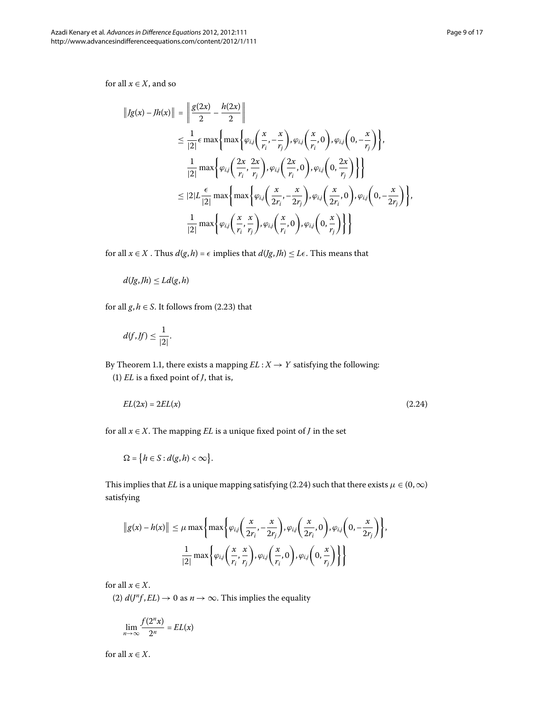for all  $x \in X$ , and so

$$
||Jg(x) - Jh(x)|| = \left\| \frac{g(2x)}{2} - \frac{h(2x)}{2} \right\|
$$
  
\n
$$
\leq \frac{1}{|2|} \epsilon \max \left\{ \max \left\{ \varphi_{ij} \left( \frac{x}{r_i}, -\frac{x}{r_j} \right), \varphi_{ij} \left( \frac{x}{r_i}, 0 \right), \varphi_{ij} \left( 0, -\frac{x}{r_j} \right) \right\},\
$$
  
\n
$$
\frac{1}{|2|} \max \left\{ \varphi_{ij} \left( \frac{2x}{r_i}, \frac{2x}{r_j} \right), \varphi_{ij} \left( \frac{2x}{r_i}, 0 \right), \varphi_{ij} \left( 0, \frac{2x}{r_j} \right) \right\} \right\}
$$
  
\n
$$
\leq |2|L \frac{\epsilon}{|2|} \max \left\{ \max \left\{ \varphi_{ij} \left( \frac{x}{2r_i}, -\frac{x}{2r_j} \right), \varphi_{ij} \left( \frac{x}{2r_i}, 0 \right), \varphi_{ij} \left( 0, -\frac{x}{2r_j} \right) \right\},\
$$
  
\n
$$
\frac{1}{|2|} \max \left\{ \varphi_{ij} \left( \frac{x}{r_i}, \frac{x}{r_j} \right), \varphi_{ij} \left( \frac{x}{r_i}, 0 \right), \varphi_{ij} \left( 0, \frac{x}{r_j} \right) \right\} \right\}
$$

for all  $x \in X$ . Thus  $d(g, h) = \epsilon$  implies that  $d(Jg, Jh) \leq L\epsilon$ . This means that

$$
d(Jg, Jh) \le Ld(g, h)
$$

for all  $g, h \in S$ . It follows from (2.23) that

<span id="page-8-0"></span>
$$
d(f, f f) \leq \frac{1}{|2|}.
$$

By Theorem 1.1, there exists a mapping  $EL : X \rightarrow Y$  satisfying the following:

() *EL* is a fixed point of *J*, that is,

$$
EL(2x) = 2EL(x) \tag{2.24}
$$

for all  $x \in X$ . The mapping *EL* is a unique fixed point of *J* in the set

$$
\Omega = \big\{ h \in S : d(g, h) < \infty \big\}.
$$

This implies that *EL* is a unique mapping satisfying (2.24) such that there exists  $\mu \in (0, \infty)$ satisfying

$$
||g(x) - h(x)|| \le \mu \max \left\{ \max \left\{ \varphi_{i,j} \left( \frac{x}{2r_i}, -\frac{x}{2r_j} \right), \varphi_{i,j} \left( \frac{x}{2r_i}, 0 \right), \varphi_{i,j} \left( 0, -\frac{x}{2r_j} \right) \right\},\newline\n\frac{1}{|2|} \max \left\{ \varphi_{i,j} \left( \frac{x}{r_i}, \frac{x}{r_j} \right), \varphi_{i,j} \left( \frac{x}{r_i}, 0 \right), \varphi_{i,j} \left( 0, \frac{x}{r_j} \right) \right\} \right\}
$$

for all  $x \in X$ .

(2)  $d(J^n f, EL) \rightarrow 0$  as  $n \rightarrow \infty$ . This implies the equality

$$
\lim_{n\to\infty}\frac{f(2^nx)}{2^n}=EL(x)
$$

for all  $x \in X$ .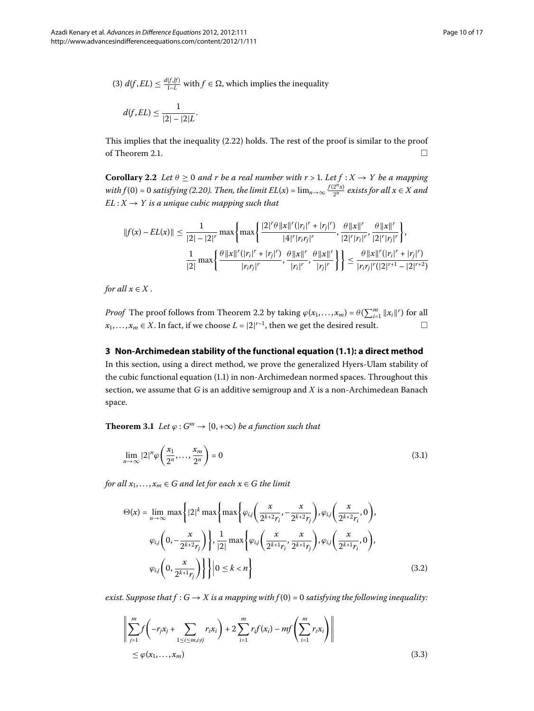(3)  $d(f, EL) \leq \frac{d(f, f)}{1 - L}$  with  $f \in \Omega$ , which implies the inequality

$$
d(f, EL) \leq \frac{1}{|2| - |2|L}.
$$

This implies that the inequality  $(2.22)$  $(2.22)$  $(2.22)$  holds. The rest of the proof is similar to the proof of Theorem 2[.](#page-3-5)1.  $\Box$ 

**Corollary 2.2** Let  $\theta \ge 0$  and r be a real number with  $r > 1$ . Let  $f : X \rightarrow Y$  be a mapping  $with f(0) = 0$  satisfying (2.20). Then, the limit  $EL(x) = \lim_{n\to\infty} \frac{f(2^nx)}{2^n}$  exists for all  $x \in X$  and  $EL: X \rightarrow Y$  *is a unique cubic mapping such that* 

$$
||f(x) - EL(x)|| \le \frac{1}{|2| - |2|^r} \max \left\{ \max \left\{ \frac{|2|^r \theta ||x||^r (|r_i|^r + |r_j|^r)}{|4|^r |r_i r_j|^r}, \frac{\theta ||x||^r}{|2|^r |r_i|^r}, \frac{\theta ||x||^r}{|2|^r |r_j|^r} \right\},\newline \frac{1}{|2|} \max \left\{ \frac{\theta ||x||^r (|r_i|^r + |r_j|^r)}{|r_i r_j|^r}, \frac{\theta ||x||^r}{|r_i|^r}, \frac{\theta ||x||^r}{|r_j|^r} \right\} \right\} \le \frac{\theta ||x||^r (|r_i|^r + |r_j|^r)}{|r_i r_j|^r (|2|^{r+1} - |2|^{r+2})}
$$

*for all*  $x \in X$ .

*Proof* The proof follows from Theorem 2[.](#page-7-2)2 by taking  $\varphi(x_1, \ldots, x_m) = \theta(\sum_{i=1}^m ||x_i||^r)$  for all *x*<sub>1</sub>,..., *x<sub>m</sub>* ∈ *X*. In fact, if we choose *L* =  $|2|^{r-1}$ , then we get the desired result.  $□$ 

## <span id="page-9-3"></span>**3 Non-Archimedean stability of the functional equation ([1.1](#page-1-0)): a direct method** In this section, using a direct method, we prove the generalized Hyers-Ulam stability of the cubic functional equation (1[.](#page-1-0)1) in non-Archimedean normed spaces. Throughout this section, we assume that *G* is an additive semigroup and *X* is a non-Archimedean Banach space.

<span id="page-9-1"></span>**Theorem 3.1** *Let*  $\varphi$  :  $G^m \to [0, +\infty)$  *be a function such that* 

<span id="page-9-0"></span>
$$
\lim_{n \to \infty} |2|^n \varphi\left(\frac{x_1}{2^n}, \dots, \frac{x_m}{2^n}\right) = 0
$$
\n(3.1)

*for all*  $x_1, \ldots, x_m \in G$  *and let for each*  $x \in G$  *the limit* 

$$
\Theta(x) = \lim_{n \to \infty} \max \left\{ |2|^k \max \left\{ \max \left\{ \varphi_{i,j} \left( \frac{x}{2^{k+2}r_i}, -\frac{x}{2^{k+2}r_j} \right), \varphi_{i,j} \left( \frac{x}{2^{k+2}r_i}, 0 \right), \right. \right. \newline \varphi_{i,j} \left( 0, -\frac{x}{2^{k+2}r_j} \right) \right\}, \frac{1}{|2|} \max \left\{ \varphi_{i,j} \left( \frac{x}{2^{k+1}r_i}, \frac{x}{2^{k+1}r_j} \right), \varphi_{i,j} \left( \frac{x}{2^{k+1}r_i}, 0 \right), \right. \newline \varphi_{i,j} \left( 0, \frac{x}{2^{k+1}r_j} \right) \right\} \Big| 0 \le k < n \right\} \tag{3.2}
$$

<span id="page-9-2"></span>*exist. Suppose that*  $f : G \to X$  *is a mapping with*  $f(0) = 0$  *satisfying the following inequality:* 

$$
\left\| \sum_{j=1}^{m} f\left( -r_j x_j + \sum_{1 \le i \le m, i \ne j} r_i x_i \right) + 2 \sum_{i=1}^{m} r_i f(x_i) - m f\left( \sum_{i=1}^{m} r_i x_i \right) \right\|
$$
  
\$\le \varphi(x\_1, ..., x\_m)\$ (3.3)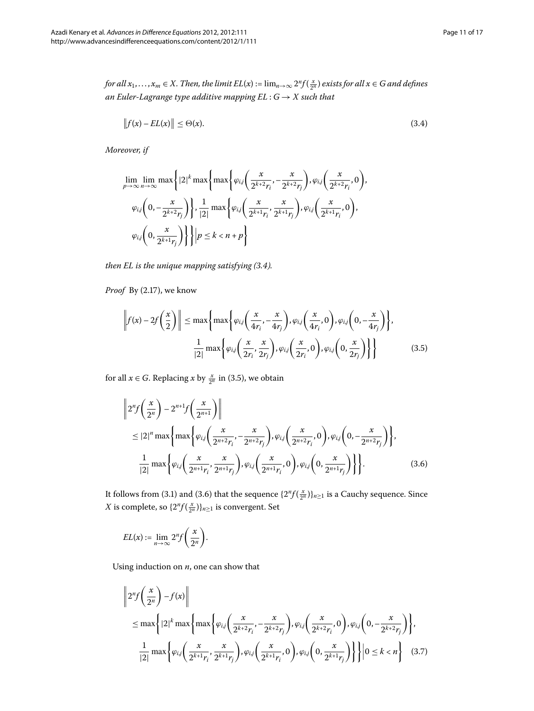*for all*  $x_1, \ldots, x_m \in X$ . Then, the limit  $EL(x) := \lim_{n \to \infty} 2^n f(\frac{x}{2^n})$  exists for all  $x \in G$  and defines *an Euler-Lagrange type additive mapping EL* : *G* → *X such that*

<span id="page-10-0"></span>
$$
\|f(x) - EL(x)\| \leq \Theta(x). \tag{3.4}
$$

*Moreover, if*

$$
\lim_{p \to \infty} \lim_{n \to \infty} \max \left\{ |2|^k \max \left\{ \max \left\{ \varphi_{i,j} \left( \frac{x}{2^{k+2}r_i}, -\frac{x}{2^{k+2}r_j} \right), \varphi_{i,j} \left( \frac{x}{2^{k+2}r_i}, 0 \right), \right. \right. \newline \varphi_{i,j} \left( 0, -\frac{x}{2^{k+2}r_j} \right) \right\}, \frac{1}{|2|} \max \left\{ \varphi_{i,j} \left( \frac{x}{2^{k+1}r_i}, \frac{x}{2^{k+1}r_j} \right), \varphi_{i,j} \left( \frac{x}{2^{k+1}r_i}, 0 \right), \right. \newline \varphi_{i,j} \left( 0, \frac{x}{2^{k+1}r_j} \right) \right\} \Big| p \le k < n + p \right\}
$$

<span id="page-10-1"></span>*then EL is the unique mapping satisfying (3.4).* 

<span id="page-10-2"></span>*Proof* By (2.17), we know

$$
\left\| f(x) - 2f\left(\frac{x}{2}\right) \right\| \le \max\left\{ \max\left\{ \varphi_{i,j}\left(\frac{x}{4r_i}, -\frac{x}{4r_j}\right), \varphi_{i,j}\left(\frac{x}{4r_i}, 0\right), \varphi_{i,j}\left(0, -\frac{x}{4r_j}\right) \right\},\right\}\frac{1}{|2|} \max\left\{ \varphi_{i,j}\left(\frac{x}{2r_i}, \frac{x}{2r_j}\right), \varphi_{i,j}\left(\frac{x}{2r_i}, 0\right), \varphi_{i,j}\left(0, \frac{x}{2r_j}\right) \right\} \right\}
$$
(3.5)

for all  $x \in G$ . Replacing  $x$  by  $\frac{x}{2^n}$  in (3.5), we obtain

$$
\left\|2^{n} f\left(\frac{x}{2^{n}}\right) - 2^{n+1} f\left(\frac{x}{2^{n+1}}\right)\right\|
$$
  
\n
$$
\leq |2|^{n} \max\left\{\max\left\{\varphi_{i,j}\left(\frac{x}{2^{n+2}r_{i}}, -\frac{x}{2^{n+2}r_{j}}\right), \varphi_{i,j}\left(\frac{x}{2^{n+2}r_{i}}, 0\right), \varphi_{i,j}\left(0, -\frac{x}{2^{n+2}r_{j}}\right)\right\},\
$$
  
\n
$$
\frac{1}{|2|} \max\left\{\varphi_{i,j}\left(\frac{x}{2^{n+1}r_{i}}, \frac{x}{2^{n+1}r_{j}}\right), \varphi_{i,j}\left(\frac{x}{2^{n+1}r_{i}}, 0\right), \varphi_{i,j}\left(0, \frac{x}{2^{n+1}r_{j}}\right)\right\}\right\}.
$$
 (3.6)

<span id="page-10-3"></span>It follows from (3[.](#page-10-2)1) and (3.6) that the sequence  $\{2^n f(\frac{x}{2^n})\}_{n\geq 1}$  is a Cauchy sequence. Since *X* is complete, so  $\{2^n f(\frac{x}{2^n})\}_{n \geq 1}$  is convergent. Set

$$
EL(x) := \lim_{n \to \infty} 2^n f\left(\frac{x}{2^n}\right).
$$

Using induction on *n*, one can show that

$$
\left\|2^{n} f\left(\frac{x}{2^{n}}\right) - f(x)\right\|
$$
  
\n
$$
\leq \max\left\{|2|^{k} \max\left\{\max\left\{\varphi_{i,j}\left(\frac{x}{2^{k+2}r_{i}}, -\frac{x}{2^{k+2}r_{j}}\right), \varphi_{i,j}\left(\frac{x}{2^{k+2}r_{i}}, 0\right), \varphi_{i,j}\left(0, -\frac{x}{2^{k+2}r_{j}}\right)\right\},\right\}
$$
  
\n
$$
\frac{1}{|2|} \max\left\{\varphi_{i,j}\left(\frac{x}{2^{k+1}r_{i}}, \frac{x}{2^{k+1}r_{j}}\right), \varphi_{i,j}\left(\frac{x}{2^{k+1}r_{i}}, 0\right), \varphi_{i,j}\left(0, \frac{x}{2^{k+1}r_{j}}\right)\right\}\right\}|0 \leq k < n\right\}
$$
(3.7)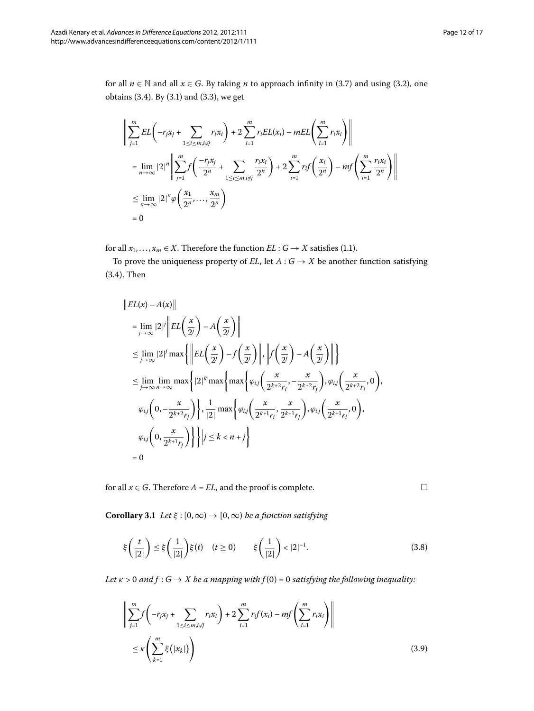for all  $n \in \mathbb{N}$  and all  $x \in G$ . By taking *n* to approach infinity in (3.7) and using (3.2), one obtains  $(3.4)$  $(3.4)$  $(3.4)$ . By  $(3.1)$  and  $(3.3)$ , we get

$$
\left\| \sum_{j=1}^{m} EL\left(-r_j x_j + \sum_{1 \le i \le m, i \ne j} r_i x_i\right) + 2 \sum_{i=1}^{m} r_i EL(x_i) - mEL\left(\sum_{i=1}^{m} r_i x_i\right) \right\|
$$
  
\n
$$
= \lim_{n \to \infty} |2|^n \left\| \sum_{j=1}^{m} f\left(\frac{-r_j x_j}{2^n} + \sum_{1 \le i \le m, i \ne j} \frac{r_i x_i}{2^n}\right) + 2 \sum_{i=1}^{m} r_i f\left(\frac{x_i}{2^n}\right) - m f\left(\sum_{i=1}^{m} \frac{r_i x_i}{2^n}\right) \right\|
$$
  
\n
$$
\le \lim_{n \to \infty} |2|^n \varphi\left(\frac{x_1}{2^n}, \dots, \frac{x_m}{2^n}\right)
$$
  
\n
$$
= 0
$$

for all  $x_1, \ldots, x_m \in X$ . Therefore the function  $EL : G \rightarrow X$  satisfies (1.1).

To prove the uniqueness property of *EL*, let  $A: G \rightarrow X$  be another function satisfying  $(3.4)$  $(3.4)$  $(3.4)$ . Then

$$
||EL(x) - A(x)||
$$
  
\n
$$
= \lim_{j \to \infty} |2|^j ||EL\left(\frac{x}{2^j}\right) - A\left(\frac{x}{2^j}\right)||
$$
  
\n
$$
\leq \lim_{j \to \infty} |2|^j \max \{ ||EL\left(\frac{x}{2^j}\right) - f\left(\frac{x}{2^j}\right) ||, ||f\left(\frac{x}{2^j}\right) - A\left(\frac{x}{2^j}\right) || \}
$$
  
\n
$$
\leq \lim_{j \to \infty} \lim_{n \to \infty} \max \{ |2|^k \max \{ \max \{ \varphi_{i,j} \left( \frac{x}{2^{k+2}r_i}, -\frac{x}{2^{k+2}r_j} \right), \varphi_{i,j} \left( \frac{x}{2^{k+2}r_i}, 0 \right), \}
$$
  
\n
$$
\varphi_{i,j} \left( 0, -\frac{x}{2^{k+2}r_j} \right) \}, \frac{1}{|2|} \max \{ \varphi_{i,j} \left( \frac{x}{2^{k+1}r_i}, \frac{x}{2^{k+1}r_j} \right), \varphi_{i,j} \left( \frac{x}{2^{k+1}r_i}, 0 \right), \}
$$
  
\n
$$
\varphi_{i,j} \left( 0, \frac{x}{2^{k+1}r_j} \right) \} \} | i \leq k < n + j \}
$$
  
\n
$$
= 0
$$

for all  $x \in G$ . Therefore  $A = EL$ , and the proof is complete.

 $\Box$ 

<span id="page-11-0"></span>**Corollary 3.1** *Let*  $\xi$  :  $[0, \infty) \rightarrow [0, \infty)$  *be a function satisfying* 

$$
\xi\left(\frac{t}{|2|}\right) \le \xi\left(\frac{1}{|2|}\right)\xi(t) \quad (t \ge 0) \qquad \xi\left(\frac{1}{|2|}\right) < |2|^{-1}.\tag{3.8}
$$

*Let*  $\kappa > 0$  and  $f : G \to X$  be a mapping with  $f(0) = 0$  satisfying the following inequality:

$$
\left\| \sum_{j=1}^{m} f\left(-r_j x_j + \sum_{1 \le i \le m, i \ne j} r_i x_i\right) + 2 \sum_{i=1}^{m} r_i f(x_i) - m f\left(\sum_{i=1}^{m} r_i x_i\right) \right\|
$$
  
 
$$
\le \kappa \left(\sum_{k=1}^{m} \xi\left(|x_k|\right)\right) \tag{3.9}
$$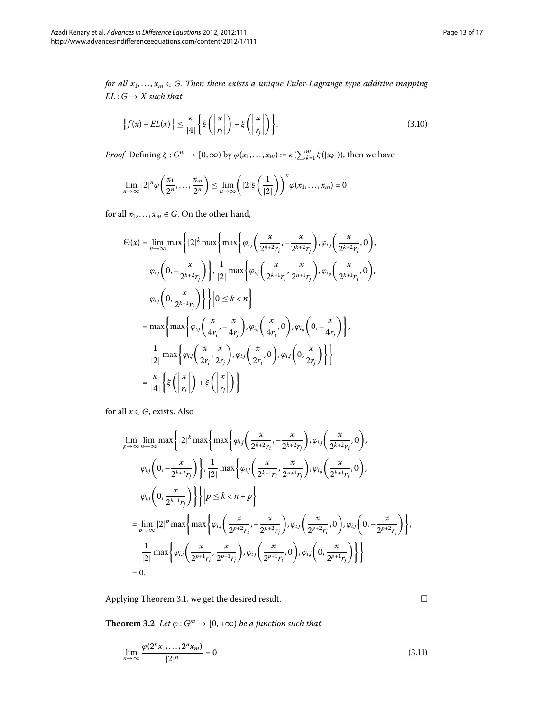*for all*  $x_1, \ldots, x_m \in G$ . Then there exists a unique Euler-Lagrange type additive mapping  $EL: G \rightarrow X$  *such that* 

$$
\|f(x) - EL(x)\| \le \frac{\kappa}{|4|} \left\{ \xi\left(\left|\frac{x}{r_i}\right|\right) + \xi\left(\left|\frac{x}{r_j}\right|\right) \right\}.
$$
\n(3.10)

*Proof* Defining  $\zeta : G^m \to [0, \infty)$  by  $\varphi(x_1, \ldots, x_m) := \kappa(\sum_{k=1}^m \xi(|x_k|))$ , then we have

$$
\lim_{n\to\infty}|2|^n\varphi\bigg(\frac{x_1}{2^n},\ldots,\frac{x_m}{2^n}\bigg)\leq \lim_{n\to\infty}\bigg(|2|\xi\bigg(\frac{1}{|2|}\bigg)\bigg)^n\varphi(x_1,\ldots,x_m)=0
$$

for all  $x_1, \ldots, x_m \in G$ . On the other hand,

$$
\Theta(x) = \lim_{n \to \infty} \max \left\{ |2|^k \max \left\{ \max \left\{ \varphi_{i,j} \left( \frac{x}{2^{k+2}r_i}, -\frac{x}{2^{k+2}r_j} \right), \varphi_{i,j} \left( \frac{x}{2^{k+2}r_i}, 0 \right), \right. \right. \newline \varphi_{i,j} \left( 0, -\frac{x}{2^{k+2}r_j} \right) \right\}, \frac{1}{|2|} \max \left\{ \varphi_{i,j} \left( \frac{x}{2^{k+1}r_i}, \frac{x}{2^{n+1}r_j} \right), \varphi_{i,j} \left( \frac{x}{2^{k+1}r_i}, 0 \right), \right. \newline \newline \varphi_{i,j} \left( 0, \frac{x}{2^{k+1}r_j} \right) \right\} \left| 0 \le k < n \right\}
$$
\n
$$
= \max \left\{ \max \left\{ \varphi_{i,j} \left( \frac{x}{4r_i}, -\frac{x}{4r_j} \right), \varphi_{i,j} \left( \frac{x}{4r_i}, 0 \right), \varphi_{i,j} \left( 0, -\frac{x}{4r_j} \right) \right\}, \frac{1}{|2|} \max \left\{ \varphi_{i,j} \left( \frac{x}{2r_i}, \frac{x}{2r_j} \right), \varphi_{i,j} \left( \frac{x}{2r_i}, 0 \right), \varphi_{i,j} \left( 0, \frac{x}{2r_j} \right) \right\} \right\}
$$
\n
$$
= \frac{\kappa}{|4|} \left\{ \xi \left( \left| \frac{x}{r_i} \right| \right) + \xi \left( \left| \frac{x}{r_j} \right| \right) \right\}
$$

for all  $x \in G$ , exists. Also

$$
\lim_{p \to \infty} \lim_{n \to \infty} \max \left\{ |2|^k \max \left\{ \max \left\{ \varphi_{i,j} \left( \frac{x}{2^{k+2}r_i}, -\frac{x}{2^{k+2}r_j} \right), \varphi_{i,j} \left( \frac{x}{2^{k+2}r_i}, 0 \right), \right. \right. \newline \varphi_{i,j} \left( 0, -\frac{x}{2^{k+2}r_j} \right) \right\}, \frac{1}{|2|} \max \left\{ \varphi_{i,j} \left( \frac{x}{2^{k+1}r_i}, \frac{x}{2^{n+1}r_j} \right), \varphi_{i,j} \left( \frac{x}{2^{k+1}r_i}, 0 \right), \right. \newline \newline \varphi_{i,j} \left( 0, \frac{x}{2^{k+1}r_j} \right) \right\} \left| p \le k < n + p \right\}
$$
\n
$$
= \lim_{p \to \infty} |2|^p \max \left\{ \max \left\{ \varphi_{i,j} \left( \frac{x}{2^{p+2}r_i}, -\frac{x}{2^{p+2}r_j} \right), \varphi_{i,j} \left( \frac{x}{2^{p+2}r_i}, 0 \right), \varphi_{i,j} \left( 0, -\frac{x}{2^{p+2}r_j} \right) \right\}, \frac{1}{|2|} \max \left\{ \varphi_{i,j} \left( \frac{x}{2^{p+1}r_i}, \frac{x}{2^{p+1}r_j} \right), \varphi_{i,j} \left( \frac{x}{2^{p+1}r_i}, 0 \right), \varphi_{i,j} \left( 0, \frac{x}{2^{p+1}r_j} \right) \right\} \right\}
$$
\n
$$
= 0.
$$

<span id="page-12-1"></span>Applying Theorem 3[.](#page-9-3)1, we get the desired result.

**Theorem 3.2** *Let*  $\varphi$  :  $G^m \to [0, +\infty)$  *be a function such that* 

$$
\lim_{n \to \infty} \frac{\varphi(2^n x_1, \dots, 2^n x_m)}{|2|^n} = 0
$$
\n(3.11)

<span id="page-12-0"></span> $\Box$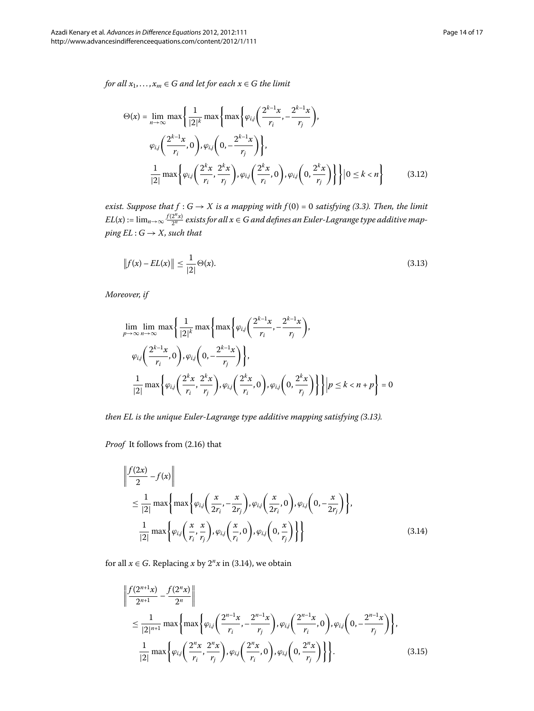<span id="page-13-3"></span>*for all*  $x_1, \ldots, x_m \in G$  *and let for each*  $x \in G$  *the limit* 

<span id="page-13-0"></span>
$$
\Theta(x) = \lim_{n \to \infty} \max \left\{ \frac{1}{|2|^k} \max \left\{ \max \left\{ \varphi_{i,j} \left( \frac{2^{k-1} x}{r_i}, -\frac{2^{k-1} x}{r_j} \right) \right\}, \right\}
$$
\n
$$
\varphi_{i,j} \left( \frac{2^{k-1} x}{r_i}, 0 \right), \varphi_{i,j} \left( 0, -\frac{2^{k-1} x}{r_j} \right) \right\},
$$
\n
$$
\frac{1}{|2|} \max \left\{ \varphi_{i,j} \left( \frac{2^k x}{r_i}, \frac{2^k x}{r_j} \right), \varphi_{i,j} \left( \frac{2^k x}{r_i}, 0 \right), \varphi_{i,j} \left( 0, \frac{2^k x}{r_j} \right) \right\} \right\} \mid 0 \le k < n \right\} \tag{3.12}
$$

*exist. Suppose that*  $f : G \to X$  *is a mapping with*  $f(0) = 0$  *satisfying (3.3). Then, the limit*  $EL(x)$  :=  $\lim_{n\to\infty}\frac{f(2^n x)}{2^n}$  exists for all  $x\in G$  and defines an Euler-Lagrange type additive map*ping EL* :  $G \rightarrow X$ *, such that* 

$$
||f(x) - EL(x)|| \le \frac{1}{|2|} \Theta(x).
$$
\n(3.13)

*Moreover, if*

$$
\lim_{p \to \infty} \lim_{n \to \infty} \max \left\{ \frac{1}{|2|^k} \max \left\{ \varphi_{i,j} \left( \frac{2^{k-1}x}{r_i}, -\frac{2^{k-1}x}{r_j} \right), \right\}
$$
\n
$$
\varphi_{i,j} \left( \frac{2^{k-1}x}{r_i}, 0 \right), \varphi_{i,j} \left( 0, -\frac{2^{k-1}x}{r_j} \right) \right\},
$$
\n
$$
\frac{1}{|2|} \max \left\{ \varphi_{i,j} \left( \frac{2^k x}{r_i}, \frac{2^k x}{r_j}, \varphi_{i,j} \left( \frac{2^k x}{r_i}, 0 \right), \varphi_{i,j} \left( 0, \frac{2^k x}{r_j} \right) \right\} \right\} \left| p \le k < n + p \right\} = 0
$$

<span id="page-13-1"></span>*then EL is the unique Euler-Lagrange type additive mapping satisfying (3.13).* 

*Proof* It follows from (2.16) that

$$
\left\| \frac{f(2x)}{2} - f(x) \right\|
$$
  
\n
$$
\leq \frac{1}{|2|} \max \left\{ \max \left\{ \varphi_{i,j} \left( \frac{x}{2r_i}, -\frac{x}{2r_j} \right), \varphi_{i,j} \left( \frac{x}{2r_i}, 0 \right), \varphi_{i,j} \left( 0, -\frac{x}{2r_j} \right) \right\}, \frac{1}{|2|} \max \left\{ \varphi_{i,j} \left( \frac{x}{r_i}, \frac{x}{r_j} \right), \varphi_{i,j} \left( \frac{x}{r_i}, 0 \right), \varphi_{i,j} \left( 0, \frac{x}{r_j} \right) \right\} \right\}
$$
\n(3.14)

<span id="page-13-2"></span>for all  $x \in G$ [.](#page-13-1) Replacing  $x$  by  $2^n x$  in (3.14), we obtain

$$
\left\| \frac{f(2^{n+1}x)}{2^{n+1}} - \frac{f(2^nx)}{2^n} \right\|
$$
\n
$$
\leq \frac{1}{|2|^{n+1}} \max \left\{ \max \left\{ \varphi_{i,j} \left( \frac{2^{n-1}x}{r_i}, -\frac{2^{n-1}x}{r_j} \right), \varphi_{i,j} \left( \frac{2^{n-1}x}{r_i}, 0 \right), \varphi_{i,j} \left( 0, -\frac{2^{n-1}x}{r_j} \right) \right\}, \frac{1}{|2|} \max \left\{ \varphi_{i,j} \left( \frac{2^n x}{r_i}, \frac{2^n x}{r_j} \right), \varphi_{i,j} \left( \frac{2^n x}{r_i}, 0 \right), \varphi_{i,j} \left( 0, \frac{2^n x}{r_j} \right) \right\} \right\}. \tag{3.15}
$$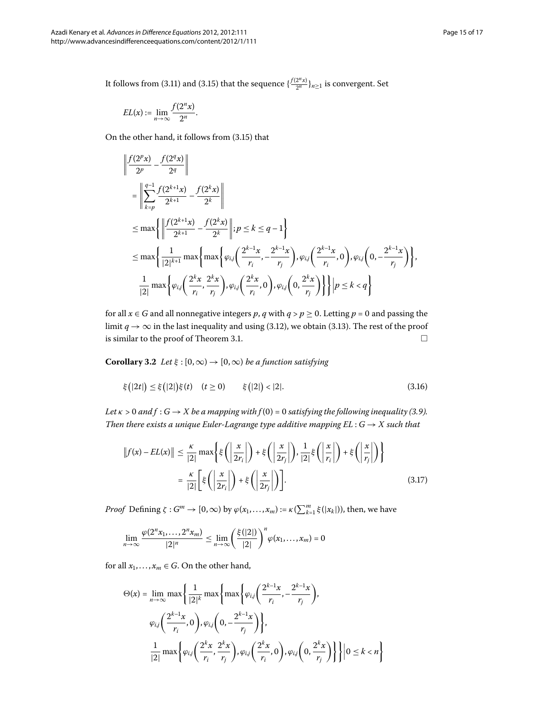It follows from (3[.](#page-12-0)11) and (3.15) that the sequence  $\{\frac{f(2^n x)}{2^n}\}_{n\geq 1}$  is convergent. Set

$$
EL(x) := \lim_{n \to \infty} \frac{f(2^n x)}{2^n}.
$$

On the other hand, it follows from  $(3.15)$  that

$$
\left\| \frac{f(2^{p}x)}{2^{p}} - \frac{f(2^{q}x)}{2^{q}} \right\|
$$
\n
$$
= \left\| \sum_{k=p}^{q-1} \frac{f(2^{k+1}x)}{2^{k+1}} - \frac{f(2^{k}x)}{2^{k}} \right\|
$$
\n
$$
\leq \max \left\{ \left\| \frac{f(2^{k+1}x)}{2^{k+1}} - \frac{f(2^{k}x)}{2^{k}} \right\| ; p \leq k \leq q-1 \right\}
$$
\n
$$
\leq \max \left\{ \frac{1}{|2|^{k+1}} \max \left\{ \max \left\{ \varphi_{ij} \left( \frac{2^{k-1}x}{r_{i}}, -\frac{2^{k-1}x}{r_{j}} \right), \varphi_{ij} \left( \frac{2^{k-1}x}{r_{i}}, 0 \right), \varphi_{ij} \left( 0, -\frac{2^{k-1}x}{r_{j}} \right) \right\} \right\},
$$
\n
$$
\frac{1}{|2|} \max \left\{ \varphi_{ij} \left( \frac{2^{k}x}{r_{i}}, \frac{2^{k}x}{r_{j}} \right), \varphi_{ij} \left( \frac{2^{k}x}{r_{i}}, 0 \right), \varphi_{ij} \left( 0, \frac{2^{k}x}{r_{j}} \right) \right\} \right\} \left| p \leq k < q \right\}
$$

for all  $x \in G$  and all nonnegative integers p, q with  $q > p \ge 0$ . Letting  $p = 0$  and passing the limit *q*  $\rightarrow \infty$  in the last inequality and using (3.12), we obtain (3.13). The rest of the proof is similar to the proof of Theorem 3.1.  $\Box$ 

**Corollary 3.2** *Let*  $\xi$  :  $[0, \infty) \rightarrow [0, \infty)$  *be a function satisfying* 

$$
\xi(|2t|) \le \xi(|2|) \xi(t) \quad (t \ge 0) \qquad \xi(|2|) < |2|. \tag{3.16}
$$

*Let*  $\kappa > 0$  and  $f : G \to X$  be a mapping with  $f(0) = 0$  satisfying the following inequality (3.9). *Then there exists a unique Euler-Lagrange type additive mapping*  $EL: G \rightarrow X$  *such that* 

$$
||f(x) - EL(x)|| \le \frac{\kappa}{|2|} \max\left\{ \xi\left( \left| \frac{x}{2r_i} \right| \right) + \xi\left( \left| \frac{x}{2r_j} \right| \right), \frac{1}{|2|} \xi\left( \left| \frac{x}{r_i} \right| \right) + \xi\left( \left| \frac{x}{r_j} \right| \right) \right\}
$$

$$
= \frac{\kappa}{|2|} \left[ \xi\left( \left| \frac{x}{2r_i} \right| \right) + \xi\left( \left| \frac{x}{2r_j} \right| \right) \right].
$$
(3.17)

*Proof* Defining  $\zeta : G^m \to [0, \infty)$  by  $\varphi(x_1, \ldots, x_m) := \kappa(\sum_{k=1}^m \xi(|x_k|))$ , then, we have

$$
\lim_{n\to\infty}\frac{\varphi(2^n x_1,\ldots,2^n x_m)}{|2|^n}\leq \lim_{n\to\infty}\left(\frac{\xi(|2|)}{|2|}\right)^n\varphi(x_1,\ldots,x_m)=0
$$

for all  $x_1, \ldots, x_m \in G$ . On the other hand,

$$
\Theta(x) = \lim_{n \to \infty} \max \left\{ \frac{1}{|2|^k} \max \left\{ \max \left\{ \varphi_{i,j} \left( \frac{2^{k-1}x}{r_i}, -\frac{2^{k-1}x}{r_j} \right) \right\}, \right\}
$$

$$
\varphi_{i,j} \left( \frac{2^{k-1}x}{r_i}, 0 \right), \varphi_{i,j} \left( 0, -\frac{2^{k-1}x}{r_j} \right) \right\},
$$

$$
\frac{1}{|2|} \max \left\{ \varphi_{i,j} \left( \frac{2^kx}{r_i}, \frac{2^kx}{r_j} \right), \varphi_{i,j} \left( \frac{2^kx}{r_i}, 0 \right), \varphi_{i,j} \left( 0, \frac{2^kx}{r_j} \right) \right\} \right| 0 \le k < n \right\}
$$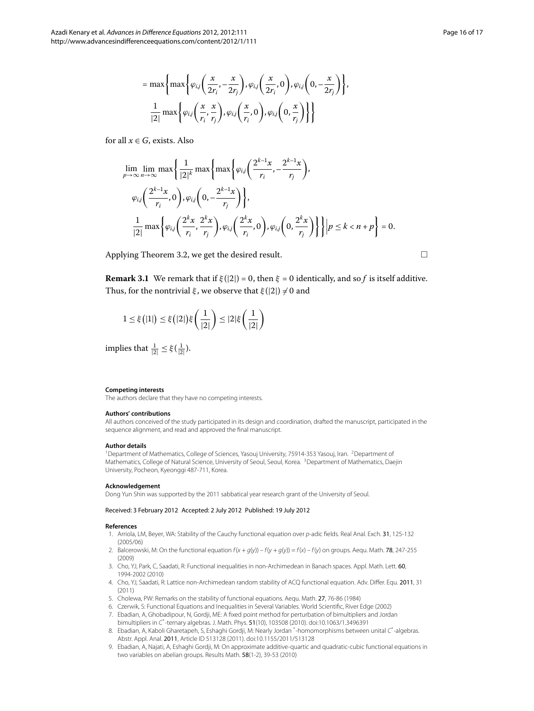$$
= \max \left\{ \max \left\{ \varphi_{i,j} \left( \frac{x}{2r_i}, -\frac{x}{2r_j} \right), \varphi_{i,j} \left( \frac{x}{2r_i}, 0 \right), \varphi_{i,j} \left( 0, -\frac{x}{2r_j} \right) \right\}, \frac{1}{|2|} \max \left\{ \varphi_{i,j} \left( \frac{x}{r_i}, \frac{x}{r_j} \right), \varphi_{i,j} \left( \frac{x}{r_i}, 0 \right), \varphi_{i,j} \left( 0, \frac{x}{r_j} \right) \right\} \right\}
$$

for all  $x \in G$ , exists. Also

$$
\lim_{p \to \infty} \lim_{n \to \infty} \max \left\{ \frac{1}{|2|^k} \max \left\{ \varphi_{i,j} \left( \frac{2^{k-1}x}{r_i}, -\frac{2^{k-1}x}{r_j} \right) \right\},\
$$
\n
$$
\varphi_{i,j} \left( \frac{2^{k-1}x}{r_i}, 0 \right), \varphi_{i,j} \left( 0, -\frac{2^{k-1}x}{r_j} \right) \right\},
$$
\n
$$
\frac{1}{|2|} \max \left\{ \varphi_{i,j} \left( \frac{2^k x}{r_i}, \frac{2^k x}{r_j} \right), \varphi_{i,j} \left( \frac{2^k x}{r_i}, 0 \right), \varphi_{i,j} \left( 0, \frac{2^k x}{r_j} \right) \right\} \right\} \left| p \le k < n + p \right\} = 0.
$$

Applying Theorem 3[.](#page-12-1)2, we get the desired result.  $\Box$ 

**Remark 3.1** We remark that if  $\xi(|2|) = 0$ , then  $\xi = 0$  identically, and so f is itself additive. Thus, for the nontrivial  $\xi$ , we observe that  $\xi(|2|) \neq 0$  and

<span id="page-15-2"></span><span id="page-15-1"></span>
$$
1 \leq \xi(|1|) \leq \xi(|2|) \xi\left(\frac{1}{|2|}\right) \leq |2| \xi\left(\frac{1}{|2|}\right)
$$

implies that  $\frac{1}{|2|} \leq \xi(\frac{1}{|2|}).$ 

#### <span id="page-15-0"></span>**Competing interests**

The authors declare that they have no competing interests.

#### **Authors' contributions**

All authors conceived of the study participated in its design and coordination, drafted the manuscript, participated in the sequence alignment, and read and approved the final manuscript.

#### **Author details**

<span id="page-15-3"></span><sup>1</sup> Department of Mathematics, College of Sciences, Yasouj University, 75914-353 Yasouj, Iran. <sup>2</sup> Department of Mathematics, College of Natural Science, University of Seoul, Seoul, Korea. 3Department of Mathematics, Daejin University, Pocheon, Kyeonggi 487-711, Korea.

#### **Acknowledgement**

Dong Yun Shin was supported by the 2011 sabbatical year research grant of the University of Seoul.

### Received: 3 February 2012 Accepted: 2 July 2012 Published: 19 July 2012

#### **References**

- 1. Arriola, LM, Beyer, WA: Stability of the Cauchy functional equation over p-adic fields. Real Anal. Exch. 31, 125-132 (2005/06)
- 2. Balcerowski, M: On the functional equation  $f(x + g(y)) f(y + g(y)) = f(x) f(y)$  on groups. Aequ. Math. **78**, 247-255 (2009)
- 3. Cho, YJ, Park, C, Saadati, R: Functional inequalities in non-Archimedean in Banach spaces. Appl. Math. Lett. 60, 1994-2002 (2010)
- 4. Cho, YJ, Saadati, R: Lattice non-Archimedean random stability of ACQ functional equation. Adv. Differ. Equ. 2011, 31 (2011)
- 5. Cholewa, PW: Remarks on the stability of functional equations. Aequ. Math. 27, 76-86 (1984)
- 6. Czerwik, S: Functional Equations and Inequalities in Several Variables. World Scientific, River Edge (2002)
- 7. Ebadian, A, Ghobadipour, N, Gordji, ME: A fixed point method for perturbation of bimultipliers and Jordan
- bimultipliers in C<sup>\*</sup>-ternary algebras. J. Math. Phys. 51(10), 103508 (2010). doi[:10.1063/1.3496391](http://dx.doi.org/10.1063/1.3496391)
- 8. Ebadian, A, Kaboli Gharetapeh, S, Eshaghi Gordji, M: Nearly Jordan \* -homomorphisms between unital C\* -algebras. Abstr. Appl. Anal. 2011, Article ID 513128 (2011). doi:[10.1155/2011/513128](http://dx.doi.org/10.1155/2011/513128)
- 9. Ebadian, A, Najati, A, Eshaghi Gordji, M: On approximate additive-quartic and quadratic-cubic functional equations in two variables on abelian groups. Results Math. 58(1-2), 39-53 (2010)